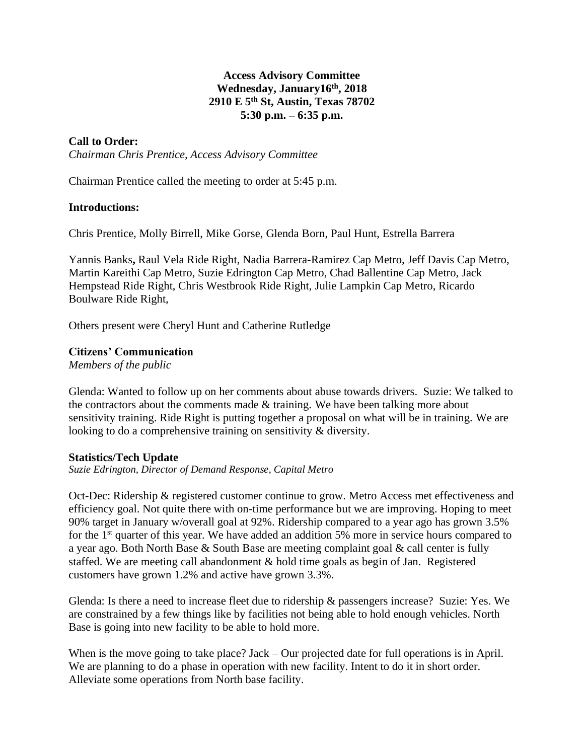# **Access Advisory Committee Wednesday, January16th , 2018 2910 E 5th St, Austin, Texas 78702 5:30 p.m. – 6:35 p.m.**

# **Call to Order:**

*Chairman Chris Prentice, Access Advisory Committee*

Chairman Prentice called the meeting to order at 5:45 p.m.

### **Introductions:**

Chris Prentice, Molly Birrell, Mike Gorse, Glenda Born, Paul Hunt, Estrella Barrera

Yannis Banks**,** Raul Vela Ride Right, Nadia Barrera-Ramirez Cap Metro, Jeff Davis Cap Metro, Martin Kareithi Cap Metro, Suzie Edrington Cap Metro, Chad Ballentine Cap Metro, Jack Hempstead Ride Right, Chris Westbrook Ride Right, Julie Lampkin Cap Metro, Ricardo Boulware Ride Right,

Others present were Cheryl Hunt and Catherine Rutledge

### **Citizens' Communication**

*Members of the public*

Glenda: Wanted to follow up on her comments about abuse towards drivers. Suzie: We talked to the contractors about the comments made & training. We have been talking more about sensitivity training. Ride Right is putting together a proposal on what will be in training. We are looking to do a comprehensive training on sensitivity & diversity.

#### **Statistics/Tech Update**

*Suzie Edrington, Director of Demand Response, Capital Metro*

Oct-Dec: Ridership & registered customer continue to grow. Metro Access met effectiveness and efficiency goal. Not quite there with on-time performance but we are improving. Hoping to meet 90% target in January w/overall goal at 92%. Ridership compared to a year ago has grown 3.5% for the 1<sup>st</sup> quarter of this year. We have added an addition 5% more in service hours compared to a year ago. Both North Base & South Base are meeting complaint goal & call center is fully staffed. We are meeting call abandonment & hold time goals as begin of Jan. Registered customers have grown 1.2% and active have grown 3.3%.

Glenda: Is there a need to increase fleet due to ridership & passengers increase? Suzie: Yes. We are constrained by a few things like by facilities not being able to hold enough vehicles. North Base is going into new facility to be able to hold more.

When is the move going to take place? Jack – Our projected date for full operations is in April. We are planning to do a phase in operation with new facility. Intent to do it in short order. Alleviate some operations from North base facility.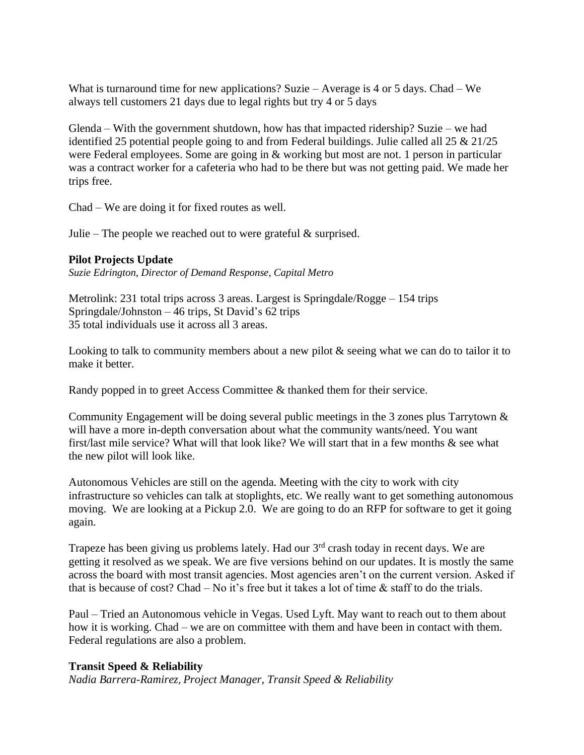What is turnaround time for new applications? Suzie – Average is 4 or 5 days. Chad – We always tell customers 21 days due to legal rights but try 4 or 5 days

Glenda – With the government shutdown, how has that impacted ridership? Suzie – we had identified 25 potential people going to and from Federal buildings. Julie called all 25 & 21/25 were Federal employees. Some are going in & working but most are not. 1 person in particular was a contract worker for a cafeteria who had to be there but was not getting paid. We made her trips free.

Chad – We are doing it for fixed routes as well.

Julie – The people we reached out to were grateful  $\&$  surprised.

# **Pilot Projects Update**

*Suzie Edrington, Director of Demand Response, Capital Metro*

Metrolink: 231 total trips across 3 areas. Largest is Springdale/Rogge – 154 trips Springdale/Johnston – 46 trips, St David's 62 trips 35 total individuals use it across all 3 areas.

Looking to talk to community members about a new pilot  $\&$  seeing what we can do to tailor it to make it better.

Randy popped in to greet Access Committee & thanked them for their service.

Community Engagement will be doing several public meetings in the 3 zones plus Tarrytown & will have a more in-depth conversation about what the community wants/need. You want first/last mile service? What will that look like? We will start that in a few months & see what the new pilot will look like.

Autonomous Vehicles are still on the agenda. Meeting with the city to work with city infrastructure so vehicles can talk at stoplights, etc. We really want to get something autonomous moving. We are looking at a Pickup 2.0. We are going to do an RFP for software to get it going again.

Trapeze has been giving us problems lately. Had our 3rd crash today in recent days. We are getting it resolved as we speak. We are five versions behind on our updates. It is mostly the same across the board with most transit agencies. Most agencies aren't on the current version. Asked if that is because of cost? Chad – No it's free but it takes a lot of time  $\&$  staff to do the trials.

Paul – Tried an Autonomous vehicle in Vegas. Used Lyft. May want to reach out to them about how it is working. Chad – we are on committee with them and have been in contact with them. Federal regulations are also a problem.

### **Transit Speed & Reliability**

*Nadia Barrera-Ramirez*, *Project Manager, Transit Speed & Reliability*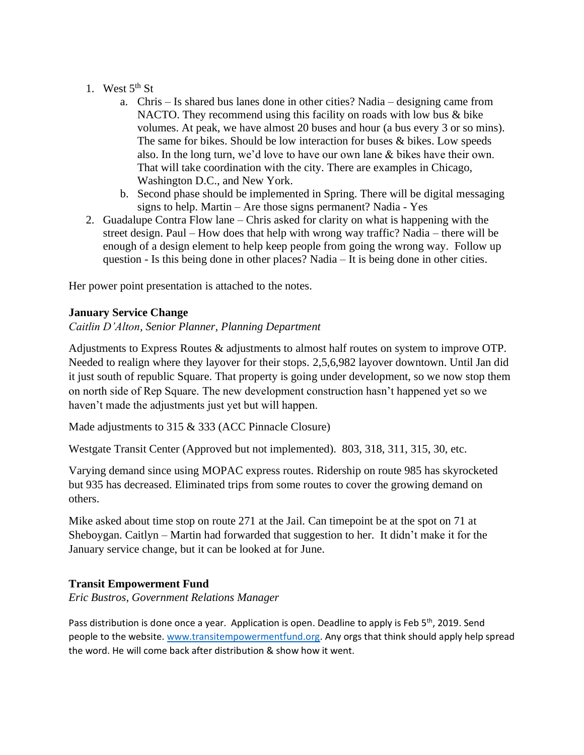### 1. West  $5<sup>th</sup>$  St

- a. Chris Is shared bus lanes done in other cities? Nadia designing came from NACTO. They recommend using this facility on roads with low bus & bike volumes. At peak, we have almost 20 buses and hour (a bus every 3 or so mins). The same for bikes. Should be low interaction for buses & bikes. Low speeds also. In the long turn, we'd love to have our own lane & bikes have their own. That will take coordination with the city. There are examples in Chicago, Washington D.C., and New York.
- b. Second phase should be implemented in Spring. There will be digital messaging signs to help. Martin – Are those signs permanent? Nadia - Yes
- 2. Guadalupe Contra Flow lane Chris asked for clarity on what is happening with the street design. Paul – How does that help with wrong way traffic? Nadia – there will be enough of a design element to help keep people from going the wrong way. Follow up question - Is this being done in other places? Nadia – It is being done in other cities.

Her power point presentation is attached to the notes.

# **January Service Change**

# *Caitlin D'Alton, Senior Planner, Planning Department*

Adjustments to Express Routes & adjustments to almost half routes on system to improve OTP. Needed to realign where they layover for their stops. 2,5,6,982 layover downtown. Until Jan did it just south of republic Square. That property is going under development, so we now stop them on north side of Rep Square. The new development construction hasn't happened yet so we haven't made the adjustments just yet but will happen.

Made adjustments to 315 & 333 (ACC Pinnacle Closure)

Westgate Transit Center (Approved but not implemented). 803, 318, 311, 315, 30, etc.

Varying demand since using MOPAC express routes. Ridership on route 985 has skyrocketed but 935 has decreased. Eliminated trips from some routes to cover the growing demand on others.

Mike asked about time stop on route 271 at the Jail. Can timepoint be at the spot on 71 at Sheboygan. Caitlyn – Martin had forwarded that suggestion to her. It didn't make it for the January service change, but it can be looked at for June.

### **Transit Empowerment Fund**

*Eric Bustros, Government Relations Manager*

Pass distribution is done once a year. Application is open. Deadline to apply is Feb 5<sup>th</sup>, 2019. Send people to the website. [www.transitempowermentfund.org.](http://www.transitempowermentfund.org/) Any orgs that think should apply help spread the word. He will come back after distribution & show how it went.